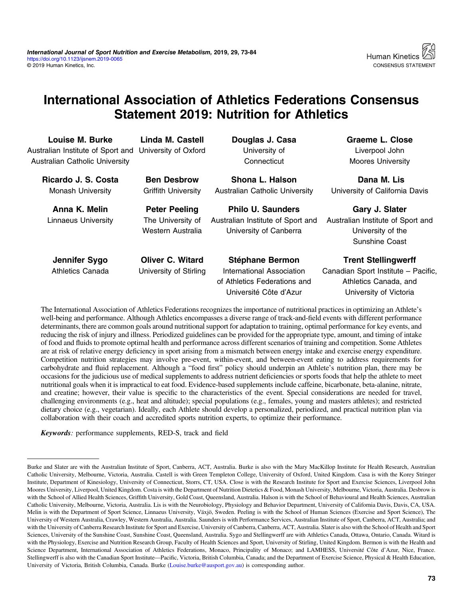# International Association of Athletics Federations Consensus Statement 2019: Nutrition for Athletics

| Louise M. Burke                                                                                                                                                    | Linda M. Castell           | Douglas J. Casa                       | Graeme L. Close                                                                                                                                                                                                                                                                                                                                                                                                                                              |
|--------------------------------------------------------------------------------------------------------------------------------------------------------------------|----------------------------|---------------------------------------|--------------------------------------------------------------------------------------------------------------------------------------------------------------------------------------------------------------------------------------------------------------------------------------------------------------------------------------------------------------------------------------------------------------------------------------------------------------|
| Australian Institute of Sport and                                                                                                                                  | University of Oxford       | University of                         | Liverpool John                                                                                                                                                                                                                                                                                                                                                                                                                                               |
| <b>Australian Catholic University</b>                                                                                                                              |                            | Connecticut                           | <b>Moores University</b>                                                                                                                                                                                                                                                                                                                                                                                                                                     |
| Ricardo J. S. Costa                                                                                                                                                | <b>Ben Desbrow</b>         | Shona L. Halson                       | Dana M. Lis                                                                                                                                                                                                                                                                                                                                                                                                                                                  |
| <b>Monash University</b>                                                                                                                                           | <b>Griffith University</b> | <b>Australian Catholic University</b> | University of California Davis                                                                                                                                                                                                                                                                                                                                                                                                                               |
| Anna K. Melin                                                                                                                                                      | <b>Peter Peeling</b>       | <b>Philo U. Saunders</b>              | Gary J. Slater                                                                                                                                                                                                                                                                                                                                                                                                                                               |
| <b>Linnaeus University</b>                                                                                                                                         | The University of          | Australian Institute of Sport and     | Australian Institute of Sport and                                                                                                                                                                                                                                                                                                                                                                                                                            |
|                                                                                                                                                                    | Western Australia          | University of Canberra                | University of the                                                                                                                                                                                                                                                                                                                                                                                                                                            |
|                                                                                                                                                                    |                            |                                       | Sunshine Coast                                                                                                                                                                                                                                                                                                                                                                                                                                               |
| Jennifer Sygo                                                                                                                                                      | <b>Oliver C. Witard</b>    | Stéphane Bermon                       | <b>Trent Stellingwerff</b>                                                                                                                                                                                                                                                                                                                                                                                                                                   |
| <b>Athletics Canada</b>                                                                                                                                            | University of Stirling     | International Association             | Canadian Sport Institute - Pacific,                                                                                                                                                                                                                                                                                                                                                                                                                          |
|                                                                                                                                                                    |                            | of Athletics Federations and          | Athletics Canada, and                                                                                                                                                                                                                                                                                                                                                                                                                                        |
|                                                                                                                                                                    |                            | Université Côte d'Azur                | University of Victoria                                                                                                                                                                                                                                                                                                                                                                                                                                       |
| $\mathbf{r}$ , $\mathbf{r}$ , $\mathbf{r}$ , $\mathbf{r}$ , $\mathbf{r}$ , $\mathbf{r}$ , $\mathbf{r}$ , $\mathbf{r}$ , $\mathbf{r}$ , $\mathbf{r}$ , $\mathbf{r}$ |                            |                                       | $\mathcal{L} = \mathcal{L} = \mathcal{L} = \mathcal{L} = \mathcal{L} = \mathcal{L} = \mathcal{L} = \mathcal{L} = \mathcal{L} = \mathcal{L} = \mathcal{L} = \mathcal{L} = \mathcal{L} = \mathcal{L} = \mathcal{L} = \mathcal{L} = \mathcal{L} = \mathcal{L} = \mathcal{L} = \mathcal{L} = \mathcal{L} = \mathcal{L} = \mathcal{L} = \mathcal{L} = \mathcal{L} = \mathcal{L} = \mathcal{L} = \mathcal{L} = \mathcal{L} = \mathcal{L} = \mathcal{L} = \mathcal$ |

The International Association of Athletics Federations recognizes the importance of nutritional practices in optimizing an Athlete's well-being and performance. Although Athletics encompasses a diverse range of track-and-field events with different performance determinants, there are common goals around nutritional support for adaptation to training, optimal performance for key events, and reducing the risk of injury and illness. Periodized guidelines can be provided for the appropriate type, amount, and timing of intake of food and fluids to promote optimal health and performance across different scenarios of training and competition. Some Athletes are at risk of relative energy deficiency in sport arising from a mismatch between energy intake and exercise energy expenditure. Competition nutrition strategies may involve pre-event, within-event, and between-event eating to address requirements for carbohydrate and fluid replacement. Although a "food first" policy should underpin an Athlete's nutrition plan, there may be occasions for the judicious use of medical supplements to address nutrient deficiencies or sports foods that help the athlete to meet nutritional goals when it is impractical to eat food. Evidence-based supplements include caffeine, bicarbonate, beta-alanine, nitrate, and creatine; however, their value is specific to the characteristics of the event. Special considerations are needed for travel, challenging environments (e.g., heat and altitude); special populations (e.g., females, young and masters athletes); and restricted dietary choice (e.g., vegetarian). Ideally, each Athlete should develop a personalized, periodized, and practical nutrition plan via collaboration with their coach and accredited sports nutrition experts, to optimize their performance.

Keywords: performance supplements, RED-S, track and field

Burke and Slater are with the Australian Institute of Sport, Canberra, ACT, Australia. Burke is also with the Mary MacKillop Institute for Health Research, Australian Catholic University, Melbourne, Victoria, Australia. Castell is with Green Templeton College, University of Oxford, United Kingdom. Casa is with the Korey Stringer Institute, Department of Kinesiology, University of Connecticut, Storrs, CT, USA. Close is with the Research Institute for Sport and Exercise Sciences, Liverpool John Moores University, Liverpool, United Kingdom. Costa is with the Department of Nutrition Dietetics & Food, Monash University, Melbourne, Victoria, Australia. Desbrow is with the School of Allied Health Sciences, Griffith University, Gold Coast, Queensland, Australia. Halson is with the School of Behavioural and Health Sciences, Australian Catholic University, Melbourne, Victoria, Australia. Lis is with the Neurobiology, Physiology and Behavior Department, University of California Davis, Davis, CA, USA. Melin is with the Department of Sport Science, Linnaeus University, Växjö, Sweden. Peeling is with the School of Human Sciences (Exercise and Sport Science), The University of Western Australia, Crawley, Western Australia, Australia. Saunders is with Performance Services, Australian Institute of Sport, Canberra, ACT, Australia; and with the University of Canberra Research Institute for Sport and Exercise, University of Canberra, Canberra, ACT, Australia. Slater is also with the School of Health and Sport Sciences, University of the Sunshine Coast, Sunshine Coast, Queensland, Australia. Sygo and Stellingwerff are with Athletics Canada, Ottawa, Ontario, Canada. Witard is with the Physiology, Exercise and Nutrition Research Group, Faculty of Health Sciences and Sport, University of Stirling, United Kingdom. Bermon is with the Health and Science Department, International Association of Athletics Federations, Monaco, Principality of Monaco; and LAMHESS, Université Côte d'Azur, Nice, France. Stellingwerff is also with the Canadian Sport Institute—Pacific, Victoria, British Columbia, Canada; and the Department of Exercise Science, Physical & Health Education, University of Victoria, British Columbia, Canada. Burke [\(Louise.burke@ausport.gov.au\)](mailto:Louise.burke@ausport.gov.au) is corresponding author.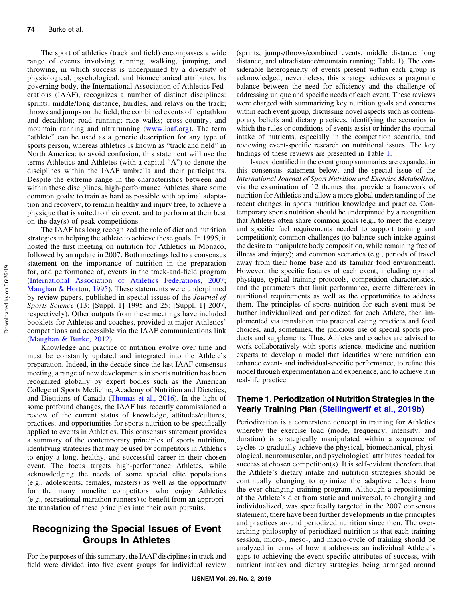The sport of athletics (track and field) encompasses a wide range of events involving running, walking, jumping, and throwing, in which success is underpinned by a diversity of physiological, psychological, and biomechanical attributes. Its governing body, the International Association of Athletics Federations (IAAF), recognizes a number of distinct disciplines: sprints, middle/long distance, hurdles, and relays on the track; throws and jumps on the field; the combined events of heptathlon and decathlon; road running; race walks; cross-country; and mountain running and ultrarunning [\(www.iaaf.org](www.iaaf.org)). The term "athlete" can be used as a generic description for any type of sports person, whereas athletics is known as "track and field" in North America: to avoid confusion, this statement will use the terms Athletics and Athletes (with a capital "A") to denote the disciplines within the IAAF umbrella and their participants. Despite the extreme range in the characteristics between and within these disciplines, high-performance Athletes share some common goals: to train as hard as possible with optimal adaptation and recovery, to remain healthy and injury free, to achieve a physique that is suited to their event, and to perform at their best on the day(s) of peak competitions.

The IAAF has long recognized the role of diet and nutrition strategies in helping the athlete to achieve these goals. In 1995, it hosted the first meeting on nutrition for Athletics in Monaco, followed by an update in 2007. Both meetings led to a consensus statement on the importance of nutrition in the preparation for, and performance of, events in the track-and-field program [\(International Association of Athletics Federations, 2007](#page-11-0); [Maughan & Horton, 1995](#page-11-0)). These statements were underpinned by review papers, published in special issues of the Journal of Sports Science (13: [Suppl. 1] 1995 and 25: [Suppl. 1] 2007, respectively). Other outputs from these meetings have included booklets for Athletes and coaches, provided at major Athletics' competitions and accessible via the IAAF communications link [\(Maughan & Burke, 2012\)](#page-11-0).

Knowledge and practice of nutrition evolve over time and must be constantly updated and integrated into the Athlete's preparation. Indeed, in the decade since the last IAAF consensus meeting, a range of new developments in sports nutrition has been recognized globally by expert bodies such as the American College of Sports Medicine, Academy of Nutrition and Dietetics, and Dietitians of Canada ([Thomas et al., 2016\)](#page-11-0). In the light of some profound changes, the IAAF has recently commissioned a review of the current status of knowledge, attitudes/cultures, practices, and opportunities for sports nutrition to be specifically applied to events in Athletics. This consensus statement provides a summary of the contemporary principles of sports nutrition, identifying strategies that may be used by competitors in Athletics to enjoy a long, healthy, and successful career in their chosen event. The focus targets high-performance Athletes, while acknowledging the needs of some special elite populations (e.g., adolescents, females, masters) as well as the opportunity for the many nonelite competitors who enjoy Athletics (e.g., recreational marathon runners) to benefit from an appropriate translation of these principles into their own pursuits.

# Recognizing the Special Issues of Event Groups in Athletes

For the purposes of this summary, the IAAF disciplines in track and field were divided into five event groups for individual review (sprints, jumps/throws/combined events, middle distance, long distance, and ultradistance/mountain running; Table [1\)](#page-2-0). The considerable heterogeneity of events present within each group is acknowledged; nevertheless, this strategy achieves a pragmatic balance between the need for efficiency and the challenge of addressing unique and specific needs of each event. These reviews were charged with summarizing key nutrition goals and concerns within each event group, discussing novel aspects such as contemporary beliefs and dietary practices, identifying the scenarios in which the rules or conditions of events assist or hinder the optimal intake of nutrients, especially in the competition scenario, and reviewing event-specific research on nutritional issues. The key findings of these reviews are presented in Table [1](#page-2-0).

Issues identified in the event group summaries are expanded in this consensus statement below, and the special issue of the International Journal of Sport Nutrition and Exercise Metabolism, via the examination of 12 themes that provide a framework of nutrition for Athletics and allow a more global understanding of the recent changes in sports nutrition knowledge and practice. Contemporary sports nutrition should be underpinned by a recognition that Athletes often share common goals (e.g., to meet the energy and specific fuel requirements needed to support training and competition); common challenges (to balance such intake against the desire to manipulate body composition, while remaining free of illness and injury); and common scenarios (e.g., periods of travel away from their home base and its familiar food environment). However, the specific features of each event, including optimal physique, typical training protocols, competition characteristics, and the parameters that limit performance, create differences in nutritional requirements as well as the opportunities to address them. The principles of sports nutrition for each event must be further individualized and periodized for each Athlete, then implemented via translation into practical eating practices and food choices, and, sometimes, the judicious use of special sports products and supplements. Thus, Athletes and coaches are advised to work collaboratively with sports science, medicine and nutrition experts to develop a model that identifies where nutrition can enhance event- and individual-specific performance, to refine this model through experimentation and experience, and to achieve it in real-life practice.

### Theme 1. Periodization of Nutrition Strategies in the Yearly Training Plan [\(Stellingwerff et al., 2019b\)](#page-11-0)

Periodization is a cornerstone concept in training for Athletics whereby the exercise load (mode, frequency, intensity, and duration) is strategically manipulated within a sequence of cycles to gradually achieve the physical, biomechanical, physiological, neuromuscular, and psychological attributes needed for success at chosen competition(s). It is self-evident therefore that the Athlete's dietary intake and nutrition strategies should be continually changing to optimize the adaptive effects from the ever changing training program. Although a repositioning of the Athlete's diet from static and universal, to changing and individualized, was specifically targeted in the 2007 consensus statement, there have been further developments in the principles and practices around periodized nutrition since then. The overarching philosophy of periodized nutrition is that each training session, micro-, meso-, and macro-cycle of training should be analyzed in terms of how it addresses an individual Athlete's gaps to achieving the event specific attributes of success, with nutrient intakes and dietary strategies being arranged around

Downloaded by on 06/26/19 Downloaded by on 06/26/19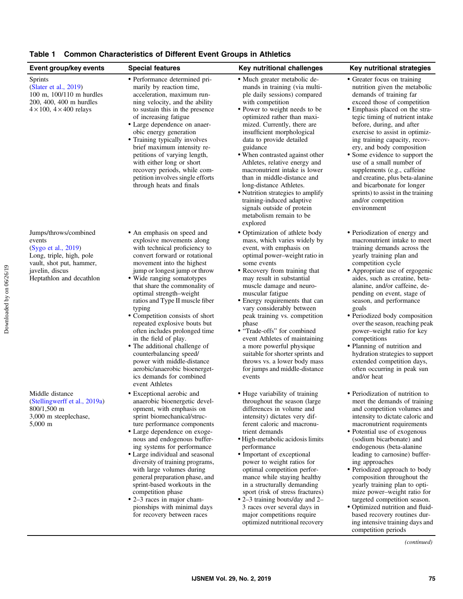| Event group/key events                                                                                                                                        | <b>Special features</b>                                                                                                                                                                                                                                                                                                                                                                                                                                                                                                                                                                                                              | Key nutritional challenges                                                                                                                                                                                                                                                                                                                                                                                                                                                                                                                                                                   | Key nutritional strategies                                                                                                                                                                                                                                                                                                                                                                                                                                                                                                                                                                                                     |
|---------------------------------------------------------------------------------------------------------------------------------------------------------------|--------------------------------------------------------------------------------------------------------------------------------------------------------------------------------------------------------------------------------------------------------------------------------------------------------------------------------------------------------------------------------------------------------------------------------------------------------------------------------------------------------------------------------------------------------------------------------------------------------------------------------------|----------------------------------------------------------------------------------------------------------------------------------------------------------------------------------------------------------------------------------------------------------------------------------------------------------------------------------------------------------------------------------------------------------------------------------------------------------------------------------------------------------------------------------------------------------------------------------------------|--------------------------------------------------------------------------------------------------------------------------------------------------------------------------------------------------------------------------------------------------------------------------------------------------------------------------------------------------------------------------------------------------------------------------------------------------------------------------------------------------------------------------------------------------------------------------------------------------------------------------------|
| <b>Sprints</b><br>(Slater et al., 2019)<br>100 m, 100/110 m hurdles<br>200, 400, 400 m hurdles<br>$4 \times 100$ , $4 \times 400$ relays                      | • Performance determined pri-<br>marily by reaction time,<br>acceleration, maximum run-<br>ning velocity, and the ability<br>to sustain this in the presence<br>of increasing fatigue<br>• Large dependence on anaer-<br>obic energy generation<br>• Training typically involves<br>brief maximum intensity re-<br>petitions of varying length,<br>with either long or short<br>recovery periods, while com-<br>petition involves single efforts<br>through heats and finals                                                                                                                                                         | • Much greater metabolic de-<br>mands in training (via multi-<br>ple daily sessions) compared<br>with competition<br>• Power to weight needs to be<br>optimized rather than maxi-<br>mized. Currently, there are<br>insufficient morphological<br>data to provide detailed<br>guidance<br>• When contrasted against other<br>Athletes, relative energy and<br>macronutrient intake is lower<br>than in middle-distance and<br>long-distance Athletes.<br>• Nutrition strategies to amplify<br>training-induced adaptive<br>signals outside of protein<br>metabolism remain to be<br>explored | • Greater focus on training<br>nutrition given the metabolic<br>demands of training far<br>exceed those of competition<br>• Emphasis placed on the stra-<br>tegic timing of nutrient intake<br>before, during, and after<br>exercise to assist in optimiz-<br>ing training capacity, recov-<br>ery, and body composition<br>• Some evidence to support the<br>use of a small number of<br>supplements (e.g., caffeine<br>and creatine, plus beta-alanine<br>and bicarbonate for longer<br>sprints) to assist in the training<br>and/or competition<br>environment                                                              |
| Jumps/throws/combined<br>events<br>(Sygo et al., 2019)<br>Long, triple, high, pole<br>vault, shot put, hammer,<br>javelin, discus<br>Heptathlon and decathlon | • An emphasis on speed and<br>explosive movements along<br>with technical proficiency to<br>convert forward or rotational<br>movement into the highest<br>jump or longest jump or throw<br>• Wide ranging somatotypes<br>that share the commonality of<br>optimal strength-weight<br>ratios and Type II muscle fiber<br>typing<br>• Competition consists of short<br>repeated explosive bouts but<br>often includes prolonged time<br>in the field of play.<br>• The additional challenge of<br>counterbalancing speed/<br>power with middle-distance<br>aerobic/anaerobic bioenerget-<br>ics demands for combined<br>event Athletes | • Optimization of athlete body<br>mass, which varies widely by<br>event, with emphasis on<br>optimal power-weight ratio in<br>some events<br>• Recovery from training that<br>may result in substantial<br>muscle damage and neuro-<br>muscular fatigue<br>• Energy requirements that can<br>vary considerably between<br>peak training vs. competition<br>phase<br>• "Trade-offs" for combined<br>event Athletes of maintaining<br>a more powerful physique<br>suitable for shorter sprints and<br>throws vs. a lower body mass<br>for jumps and middle-distance<br>events                  | • Periodization of energy and<br>macronutrient intake to meet<br>training demands across the<br>yearly training plan and<br>competition cycle<br>• Appropriate use of ergogenic<br>aides, such as creatine, beta-<br>alanine, and/or caffeine, de-<br>pending on event, stage of<br>season, and performance<br>goals<br>• Periodized body composition<br>over the season, reaching peak<br>power-weight ratio for key<br>competitions<br>• Planning of nutrition and<br>hydration strategies to support<br>extended competition days,<br>often occurring in peak sun<br>and/or heat                                            |
| Middle distance<br>(Stellingwerff et al., 2019a)<br>800/1,500 m<br>3,000 m steeplechase,<br>$5,000 \; \mathrm{m}$                                             | • Exceptional aerobic and<br>anaerobic bioenergetic devel-<br>opment, with emphasis on<br>sprint biomechanical/struc-<br>ture performance components<br>• Large dependence on exoge-<br>nous and endogenous buffer-<br>ing systems for performance<br>• Large individual and seasonal<br>diversity of training programs,<br>with large volumes during<br>general preparation phase, and<br>sprint-based workouts in the<br>competition phase<br>• 2–3 races in major cham-<br>pionships with minimal days<br>for recovery between races                                                                                              | • Huge variability of training<br>throughout the season (large<br>differences in volume and<br>intensity) dictates very dif-<br>ferent caloric and macronu-<br>trient demands<br>· High-metabolic acidosis limits<br>performance<br>• Important of exceptional<br>power to weight ratios for<br>optimal competition perfor-<br>mance while staying healthy<br>in a structurally demanding<br>sport (risk of stress fractures)<br>• 2-3 training bouts/day and 2-<br>3 races over several days in<br>major competitions require<br>optimized nutritional recovery                             | • Periodization of nutrition to<br>meet the demands of training<br>and competition volumes and<br>intensity to dictate caloric and<br>macronutrient requirements<br>• Potential use of exogenous<br>(sodium bicarbonate) and<br>endogenous (beta-alanine<br>leading to carnosine) buffer-<br>ing approaches<br>• Periodized approach to body<br>composition throughout the<br>yearly training plan to opti-<br>mize power-weight ratio for<br>targeted competition season.<br>• Optimized nutrition and fluid-<br>based recovery routines dur-<br>ing intensive training days and<br>competition periods<br><i>(continued)</i> |

# <span id="page-2-0"></span>Table 1 Common Characteristics of Different Event Groups in Athletics

Downloaded by on 06/26/19 Downloaded by on 06/26/19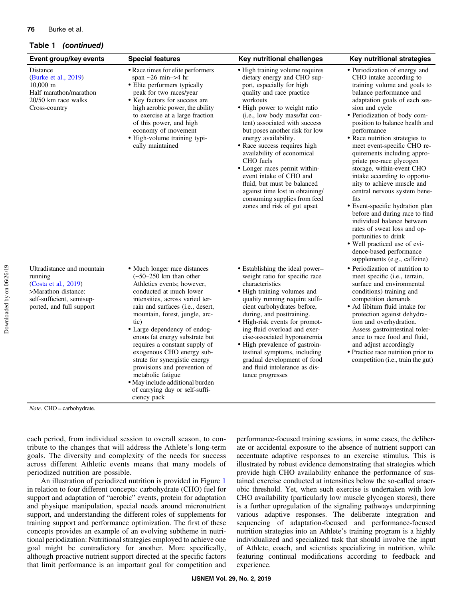### Table 1 (continued)

| Event group/key events                                                                                                                        | <b>Special features</b>                                                                                                                                                                                                                                                                                                                                                                                                                                                                                                        | Key nutritional challenges                                                                                                                                                                                                                                                                                                                                                                                                                                                                                                                                               | Key nutritional strategies                                                                                                                                                                                                                                                                                                                                                                                                                                                                                                                                                                                                                                                                                                                                                  |
|-----------------------------------------------------------------------------------------------------------------------------------------------|--------------------------------------------------------------------------------------------------------------------------------------------------------------------------------------------------------------------------------------------------------------------------------------------------------------------------------------------------------------------------------------------------------------------------------------------------------------------------------------------------------------------------------|--------------------------------------------------------------------------------------------------------------------------------------------------------------------------------------------------------------------------------------------------------------------------------------------------------------------------------------------------------------------------------------------------------------------------------------------------------------------------------------------------------------------------------------------------------------------------|-----------------------------------------------------------------------------------------------------------------------------------------------------------------------------------------------------------------------------------------------------------------------------------------------------------------------------------------------------------------------------------------------------------------------------------------------------------------------------------------------------------------------------------------------------------------------------------------------------------------------------------------------------------------------------------------------------------------------------------------------------------------------------|
| Distance<br>(Burke et al., 2019)<br>$10,000 \text{ m}$<br>Half marathon/marathon<br>20/50 km race walks<br>Cross-country                      | • Race times for elite performers<br>span $\sim$ 26 min $\rightarrow$ 4 hr<br>• Elite performers typically<br>peak for two races/year<br>• Key factors for success are<br>high aerobic power, the ability<br>to exercise at a large fraction<br>of this power, and high<br>economy of movement<br>• High-volume training typi-<br>cally maintained                                                                                                                                                                             | • High training volume requires<br>dietary energy and CHO sup-<br>port, especially for high<br>quality and race practice<br>workouts<br>• High power to weight ratio<br>(i.e., low body mass/fat con-<br>tent) associated with success<br>but poses another risk for low<br>energy availability.<br>· Race success requires high<br>availability of economical<br>CHO fuels<br>• Longer races permit within-<br>event intake of CHO and<br>fluid, but must be balanced<br>against time lost in obtaining/<br>consuming supplies from feed<br>zones and risk of gut upset | • Periodization of energy and<br>CHO intake according to<br>training volume and goals to<br>balance performance and<br>adaptation goals of each ses-<br>sion and cycle<br>• Periodization of body com-<br>position to balance health and<br>performance<br>• Race nutrition strategies to<br>meet event-specific CHO re-<br>quirements including appro-<br>priate pre-race glycogen<br>storage, within-event CHO<br>intake according to opportu-<br>nity to achieve muscle and<br>central nervous system bene-<br>fits<br>• Event-specific hydration plan<br>before and during race to find<br>individual balance between<br>rates of sweat loss and op-<br>portunities to drink<br>• Well practiced use of evi-<br>dence-based performance<br>supplements (e.g., caffeine) |
| Ultradistance and mountain<br>running<br>(Costa et al., 2019)<br>>Marathon distance:<br>self-sufficient, semisup-<br>ported, and full support | • Much longer race distances<br>$(-50-250)$ km than other<br>Athletics events; however,<br>conducted at much lower<br>intensities, across varied ter-<br>rain and surfaces (i.e., desert,<br>mountain, forest, jungle, arc-<br>tic)<br>• Large dependency of endog-<br>enous fat energy substrate but<br>requires a constant supply of<br>exogenous CHO energy sub-<br>strate for synergistic energy<br>provisions and prevention of<br>metabolic fatigue<br>· May include additional burden<br>of carrying day or self-suffi- | • Establishing the ideal power-<br>weight ratio for specific race<br>characteristics<br>• High training volumes and<br>quality running require suffi-<br>cient carbohydrates before,<br>during, and posttraining.<br>• High-risk events for promot-<br>ing fluid overload and exer-<br>cise-associated hyponatremia<br>• High prevalence of gastroin-<br>testinal symptoms, including<br>gradual development of food<br>and fluid intolerance as dis-<br>tance progresses                                                                                                | • Periodization of nutrition to<br>meet specific (i.e., terrain,<br>surface and environmental<br>conditions) training and<br>competition demands<br>• Ad libitum fluid intake for<br>protection against dehydra-<br>tion and overhydration.<br>Assess gastrointestinal toler-<br>ance to race food and fluid,<br>and adjust accordingly<br>• Practice race nutrition prior to<br>competition (i.e., train the gut)                                                                                                                                                                                                                                                                                                                                                          |

Note. CHO = carbohydrate.

each period, from individual session to overall season, to contribute to the changes that will address the Athlete's long-term goals. The diversity and complexity of the needs for success across different Athletic events means that many models of periodized nutrition are possible.

ciency pack

An illustration of periodized nutrition is provided in Figure [1](#page-4-0) in relation to four different concepts: carbohydrate (CHO) fuel for support and adaptation of "aerobic" events, protein for adaptation and physique manipulation, special needs around micronutrient support, and understanding the different roles of supplements for training support and performance optimization. The first of these concepts provides an example of an evolving subtheme in nutritional periodization: Nutritional strategies employed to achieve one goal might be contradictory for another. More specifically, although proactive nutrient support directed at the specific factors that limit performance is an important goal for competition and performance-focused training sessions, in some cases, the deliberate or accidental exposure to the absence of nutrient support can accentuate adaptive responses to an exercise stimulus. This is illustrated by robust evidence demonstrating that strategies which provide high CHO availability enhance the performance of sustained exercise conducted at intensities below the so-called anaerobic threshold. Yet, when such exercise is undertaken with low CHO availability (particularly low muscle glycogen stores), there is a further upregulation of the signaling pathways underpinning various adaptive responses. The deliberate integration and sequencing of adaptation-focused and performance-focused nutrition strategies into an Athlete's training program is a highly individualized and specialized task that should involve the input of Athlete, coach, and scientists specializing in nutrition, while featuring continual modifications according to feedback and experience.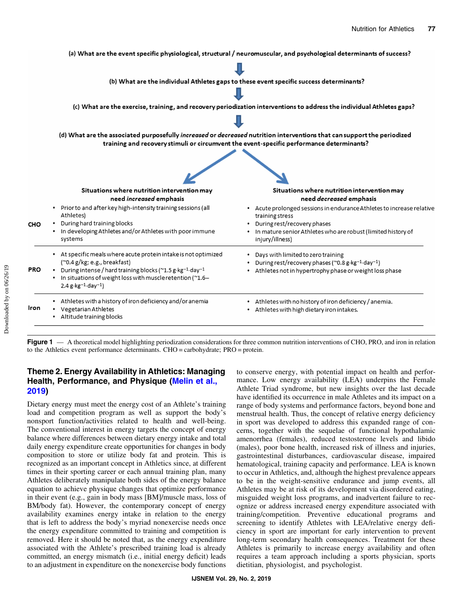<span id="page-4-0"></span>

Figure 1 — A theoretical model highlighting periodization considerations for three common nutrition interventions of CHO, PRO, and iron in relation to the Athletics event performance determinants. CHO = carbohydrate; PRO = protein.

# Theme 2. Energy Availability in Athletics: Managing Health, Performance, and Physique ([Melin et al.,](#page-11-0) [2019](#page-11-0))

Dietary energy must meet the energy cost of an Athlete's training load and competition program as well as support the body's nonsport function/activities related to health and well-being. The conventional interest in energy targets the concept of energy balance where differences between dietary energy intake and total daily energy expenditure create opportunities for changes in body composition to store or utilize body fat and protein. This is recognized as an important concept in Athletics since, at different times in their sporting career or each annual training plan, many Athletes deliberately manipulate both sides of the energy balance equation to achieve physique changes that optimize performance in their event (e.g., gain in body mass [BM]/muscle mass, loss of BM/body fat). However, the contemporary concept of energy availability examines energy intake in relation to the energy that is left to address the body's myriad nonexercise needs once the energy expenditure committed to training and competition is removed. Here it should be noted that, as the energy expenditure associated with the Athlete's prescribed training load is already committed, an energy mismatch (i.e., initial energy deficit) leads to an adjustment in expenditure on the nonexercise body functions to conserve energy, with potential impact on health and performance. Low energy availability (LEA) underpins the Female Athlete Triad syndrome, but new insights over the last decade have identified its occurrence in male Athletes and its impact on a range of body systems and performance factors, beyond bone and menstrual health. Thus, the concept of relative energy deficiency in sport was developed to address this expanded range of concerns, together with the sequelae of functional hypothalamic amenorrhea (females), reduced testosterone levels and libido (males), poor bone health, increased risk of illness and injuries, gastrointestinal disturbances, cardiovascular disease, impaired hematological, training capacity and performance. LEA is known to occur in Athletics, and, although the highest prevalence appears to be in the weight-sensitive endurance and jump events, all Athletes may be at risk of its development via disordered eating, misguided weight loss programs, and inadvertent failure to recognize or address increased energy expenditure associated with training/competition. Preventive educational programs and screening to identify Athletes with LEA/relative energy deficiency in sport are important for early intervention to prevent long-term secondary health consequences. Treatment for these Athletes is primarily to increase energy availability and often requires a team approach including a sports physician, sports dietitian, physiologist, and psychologist.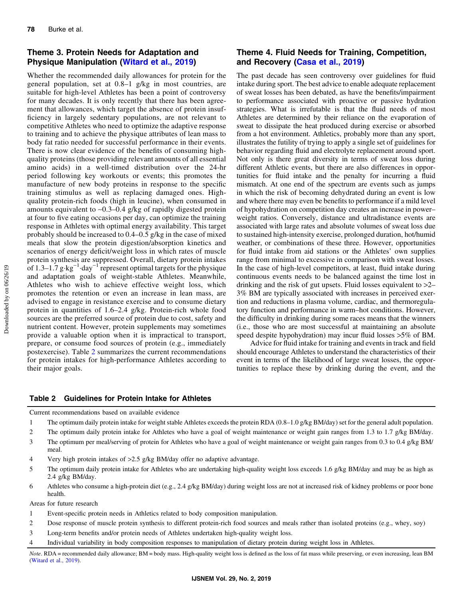# Theme 3. Protein Needs for Adaptation and Physique Manipulation [\(Witard et al., 2019\)](#page-11-0)

Whether the recommended daily allowances for protein for the general population, set at 0.8–1 g/kg in most countries, are suitable for high-level Athletes has been a point of controversy for many decades. It is only recently that there has been agreement that allowances, which target the absence of protein insufficiency in largely sedentary populations, are not relevant to competitive Athletes who need to optimize the adaptive response to training and to achieve the physique attributes of lean mass to body fat ratio needed for successful performance in their events. There is now clear evidence of the benefits of consuming highquality proteins (those providing relevant amounts of all essential amino acids) in a well-timed distribution over the 24-hr period following key workouts or events; this promotes the manufacture of new body proteins in response to the specific training stimulus as well as replacing damaged ones. Highquality protein-rich foods (high in leucine), when consumed in amounts equivalent to ∼0.3–0.4 g/kg of rapidly digested protein at four to five eating occasions per day, can optimize the training response in Athletes with optimal energy availability. This target probably should be increased to 0.4–0.5 g/kg in the case of mixed meals that slow the protein digestion/absorption kinetics and scenarios of energy deficit/weight loss in which rates of muscle protein synthesis are suppressed. Overall, dietary protein intakes of 1.3–1.7 g·kg<sup>-1</sup>·day<sup>-1</sup> represent optimal targets for the physique and adaptation goals of weight-stable Athletes. Meanwhile, Athletes who wish to achieve effective weight loss, which promotes the retention or even an increase in lean mass, are advised to engage in resistance exercise and to consume dietary protein in quantities of 1.6–2.4 g/kg. Protein-rich whole food sources are the preferred source of protein due to cost, safety and nutrient content. However, protein supplements may sometimes provide a valuable option when it is impractical to transport, prepare, or consume food sources of protein (e.g., immediately postexercise). Table 2 summarizes the current recommendations for protein intakes for high-performance Athletes according to their major goals.

# Theme 4. Fluid Needs for Training, Competition, and Recovery [\(Casa et al., 2019](#page-11-0))

The past decade has seen controversy over guidelines for fluid intake during sport. The best advice to enable adequate replacement of sweat losses has been debated, as have the benefits/impairment to performance associated with proactive or passive hydration strategies. What is irrefutable is that the fluid needs of most Athletes are determined by their reliance on the evaporation of sweat to dissipate the heat produced during exercise or absorbed from a hot environment. Athletics, probably more than any sport, illustrates the futility of trying to apply a single set of guidelines for behavior regarding fluid and electrolyte replacement around sport. Not only is there great diversity in terms of sweat loss during different Athletic events, but there are also differences in opportunities for fluid intake and the penalty for incurring a fluid mismatch. At one end of the spectrum are events such as jumps in which the risk of becoming dehydrated during an event is low and where there may even be benefits to performance if a mild level of hypohydration on competition day creates an increase in power– weight ratios. Conversely, distance and ultradistance events are associated with large rates and absolute volumes of sweat loss due to sustained high-intensity exercise, prolonged duration, hot/humid weather, or combinations of these three. However, opportunities for fluid intake from aid stations or the Athletes' own supplies range from minimal to excessive in comparison with sweat losses. In the case of high-level competitors, at least, fluid intake during continuous events needs to be balanced against the time lost in drinking and the risk of gut upsets. Fluid losses equivalent to >2– 3% BM are typically associated with increases in perceived exertion and reductions in plasma volume, cardiac, and thermoregulatory function and performance in warm–hot conditions. However, the difficulty in drinking during some races means that the winners (i.e., those who are most successful at maintaining an absolute speed despite hypohydration) may incur fluid losses  $>5\%$  of BM.

Advice for fluid intake for training and events in track and field should encourage Athletes to understand the characteristics of their event in terms of the likelihood of large sweat losses, the opportunities to replace these by drinking during the event, and the

### Table 2 Guidelines for Protein Intake for Athletes

Current recommendations based on available evidence

- 1 The optimum daily protein intake for weight stable Athletes exceeds the protein RDA (0.8–1.0 g/kg BM/day) set for the general adult population.
- 2 The optimum daily protein intake for Athletes who have a goal of weight maintenance or weight gain ranges from 1.3 to 1.7 g/kg BM/day.
- 3 The optimum per meal/serving of protein for Athletes who have a goal of weight maintenance or weight gain ranges from 0.3 to 0.4 g/kg BM/ meal.
- 4 Very high protein intakes of >2.5 g/kg BM/day offer no adaptive advantage.
- 5 The optimum daily protein intake for Athletes who are undertaking high-quality weight loss exceeds 1.6 g/kg BM/day and may be as high as 2.4 g/kg BM/day.
- 6 Athletes who consume a high-protein diet (e.g., 2.4 g/kg BM/day) during weight loss are not at increased risk of kidney problems or poor bone health.

Areas for future research

- 1 Event-specific protein needs in Athletics related to body composition manipulation.
- 2 Dose response of muscle protein synthesis to different protein-rich food sources and meals rather than isolated proteins (e.g., whey, soy)
- 3 Long-term benefits and/or protein needs of Athletes undertaken high-quality weight loss.
- 4 Individual variability in body composition responses to manipulation of dietary protein during weight loss in Athletes.

Note. RDA = recommended daily allowance; BM = body mass. High-quality weight loss is defined as the loss of fat mass while preserving, or even increasing, lean BM ([Witard et al., 2019\)](#page-11-0).

Downloaded by on 06/26/19 Downloaded by on 06/26/19

#### IJSNEM Vol. 29, No. 2, 2019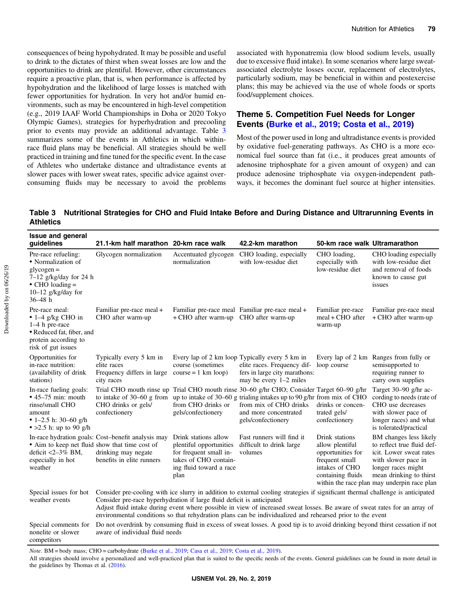<span id="page-6-0"></span>consequences of being hypohydrated. It may be possible and useful to drink to the dictates of thirst when sweat losses are low and the opportunities to drink are plentiful. However, other circumstances require a proactive plan, that is, when performance is affected by hypohydration and the likelihood of large losses is matched with fewer opportunities for hydration. In very hot and/or humid environments, such as may be encountered in high-level competition (e.g., 2019 IAAF World Championships in Doha or 2020 Tokyo Olympic Games), strategies for hyperhydration and precooling prior to events may provide an additional advantage. Table 3 summarizes some of the events in Athletics in which withinrace fluid plans may be beneficial. All strategies should be well practiced in training and fine tuned for the specific event. In the case of Athletes who undertake distance and ultradistance events at slower paces with lower sweat rates, specific advice against overconsuming fluids may be necessary to avoid the problems associated with hyponatremia (low blood sodium levels, usually due to excessive fluid intake). In some scenarios where large sweatassociated electrolyte losses occur, replacement of electrolytes, particularly sodium, may be beneficial in within and postexercise plans; this may be achieved via the use of whole foods or sports food/supplement choices.

### Theme 5. Competition Fuel Needs for Longer Events ([Burke et al., 2019;](#page-10-0) [Costa et al., 2019\)](#page-11-0)

Most of the power used in long and ultradistance events is provided by oxidative fuel-generating pathways. As CHO is a more economical fuel source than fat (i.e., it produces great amounts of adenosine triphosphate for a given amount of oxygen) and can produce adenosine triphosphate via oxygen-independent pathways, it becomes the dominant fuel source at higher intensities.

Table 3 Nutritional Strategies for CHO and Fluid Intake Before and During Distance and Ultrarunning Events in **Athletics** 

| <b>Issue and general</b>                                                                                                                                |                                                                                                                                                          |                                                                                                                                       |                                                                                                                                                                                                                                                                                                                                                                            |                                                                                                                 |                                                                                                                                                                                                        |
|---------------------------------------------------------------------------------------------------------------------------------------------------------|----------------------------------------------------------------------------------------------------------------------------------------------------------|---------------------------------------------------------------------------------------------------------------------------------------|----------------------------------------------------------------------------------------------------------------------------------------------------------------------------------------------------------------------------------------------------------------------------------------------------------------------------------------------------------------------------|-----------------------------------------------------------------------------------------------------------------|--------------------------------------------------------------------------------------------------------------------------------------------------------------------------------------------------------|
| quidelines                                                                                                                                              | 21.1-km half marathon 20-km race walk                                                                                                                    |                                                                                                                                       | 42.2-km marathon                                                                                                                                                                                                                                                                                                                                                           | 50-km race walk Ultramarathon                                                                                   |                                                                                                                                                                                                        |
| Pre-race refueling:<br>· Normalization of<br>$glycogen =$<br>$7-12$ g/kg/day for 24 h<br>$\bullet$ CHO loading =<br>$10-12$ g/kg/day for<br>$36 - 48$ h | Glycogen normalization                                                                                                                                   | Accentuated glycogen<br>normalization                                                                                                 | CHO loading, especially<br>with low-residue diet                                                                                                                                                                                                                                                                                                                           | CHO loading.<br>especially with<br>low-residue diet                                                             | CHO loading especially<br>with low-residue diet<br>and removal of foods<br>known to cause gut<br>issues                                                                                                |
| Pre-race meal:<br>$\bullet$ 1-4 g/kg CHO in<br>$1-4$ h pre-race<br>· Reduced fat, fiber, and<br>protein according to<br>risk of gut issues              | Familiar pre-race meal +<br>CHO after warm-up                                                                                                            | + CHO after warm-up CHO after warm-up                                                                                                 | Familiar pre-race meal Familiar pre-race meal +                                                                                                                                                                                                                                                                                                                            | Familiar pre-race<br>$meal + CHO$ after<br>warm-up                                                              | Familiar pre-race meal<br>+ CHO after warm-up                                                                                                                                                          |
| Opportunities for<br>in-race nutrition:<br>(availability of drink<br>stations)                                                                          | Typically every 5 km in<br>elite races<br>Frequency differs in large<br>city races                                                                       | course (sometimes)<br>$course = 1 km loop)$                                                                                           | Every lap of 2 km loop Typically every 5 km in<br>elite races. Frequency dif-<br>fers in large city marathons:<br>may be every $1-2$ miles                                                                                                                                                                                                                                 | loop course                                                                                                     | Every lap of 2 km Ranges from fully or<br>semisupported to<br>requiring runner to<br>carry own supplies                                                                                                |
| In-race fueling goals:<br>$\bullet$ 45-75 min: mouth<br>rinse/small CHO<br>amount<br>• 1-2.5 h: 30-60 g/h<br>• > 2.5 h: up to 90 g/h                    | to intake of 30–60 g from<br>CHO drinks or gels/<br>confectionery                                                                                        | from CHO drinks or<br>gels/confectionery                                                                                              | Trial CHO mouth rinse up Trial CHO mouth rinse 30-60 g/hr CHO; Consider Target 60-90 g/hr<br>up to intake of 30–60 g trialing intakes up to 90 g/hr from mix of CHO<br>from mix of CHO drinks<br>and more concentrated<br>gels/confectionery                                                                                                                               | drinks or concen-<br>trated gels/<br>confectionery                                                              | Target 30-90 g/hr ac-<br>cording to needs (rate of<br>CHO use decreases<br>with slower pace of<br>longer races) and what<br>is tolerated/practical                                                     |
| deficit $<2-3\%$ BM,<br>especially in hot<br>weather                                                                                                    | In-race hydration goals: Cost-benefit analysis may<br>• Aim to keep net fluid show that time cost of<br>drinking may negate<br>benefits in elite runners | Drink stations allow<br>plentiful opportunities<br>for frequent small in-<br>takes of CHO contain-<br>ing fluid toward a race<br>plan | Fast runners will find it<br>difficult to drink large<br>volumes                                                                                                                                                                                                                                                                                                           | Drink stations<br>allow plentiful<br>opportunities for<br>frequent small<br>intakes of CHO<br>containing fluids | BM changes less likely<br>to reflect true fluid def-<br>icit. Lower sweat rates<br>with slower pace in<br>longer races might<br>mean drinking to thirst<br>within the race plan may underpin race plan |
| Special issues for hot<br>weather events                                                                                                                | Consider pre-race hyperhydration if large fluid deficit is anticipated                                                                                   |                                                                                                                                       | Consider pre-cooling with ice slurry in addition to external cooling strategies if significant thermal challenge is anticipated<br>Adjust fluid intake during event where possible in view of increased sweat losses. Be aware of sweat rates for an array of<br>environmental conditions so that rehydration plans can be individualized and rehearsed prior to the event |                                                                                                                 |                                                                                                                                                                                                        |
| Special comments for<br>nonelite or slower<br>competitors                                                                                               | aware of individual fluid needs                                                                                                                          |                                                                                                                                       | Do not overdrink by consuming fluid in excess of sweat losses. A good tip is to avoid drinking beyond thirst cessation if not                                                                                                                                                                                                                                              |                                                                                                                 |                                                                                                                                                                                                        |

Note. BM = body mass; CHO = carbohydrate ([Burke et al., 2019](#page-10-0); [Casa et al., 2019](#page-11-0); [Costa et al., 2019](#page-11-0)).

All strategies should involve a personalized and well-practiced plan that is suited to the specific needs of the events. General guidelines can be found in more detail in the guidelines by Thomas et al.  $(2016)$  $(2016)$ .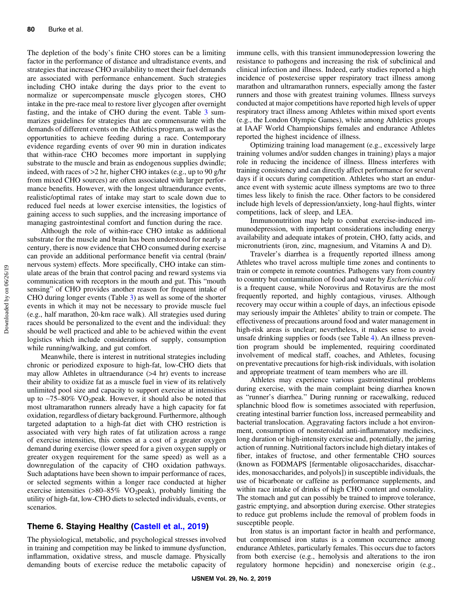The depletion of the body's finite CHO stores can be a limiting factor in the performance of distance and ultradistance events, and strategies that increase CHO availability to meet their fuel demands are associated with performance enhancement. Such strategies including CHO intake during the days prior to the event to normalize or supercompensate muscle glycogen stores, CHO intake in the pre-race meal to restore liver glycogen after overnight fasting, and the intake of CHO during the event. Table [3](#page-6-0) summarizes guidelines for strategies that are commensurate with the demands of different events on the Athletics program, as well as the opportunities to achieve feeding during a race. Contemporary evidence regarding events of over 90 min in duration indicates that within-race CHO becomes more important in supplying substrate to the muscle and brain as endogenous supplies dwindle; indeed, with races of >2 hr, higher CHO intakes (e.g., up to 90 g/hr from mixed CHO sources) are often associated with larger performance benefits. However, with the longest ultraendurance events, realistic/optimal rates of intake may start to scale down due to reduced fuel needs at lower exercise intensities, the logistics of gaining access to such supplies, and the increasing importance of managing gastrointestinal comfort and function during the race.

Although the role of within-race CHO intake as additional substrate for the muscle and brain has been understood for nearly a century, there is now evidence that CHO consumed during exercise can provide an additional performance benefit via central (brain/ nervous system) effects. More specifically, CHO intake can stimulate areas of the brain that control pacing and reward systems via communication with receptors in the mouth and gut. This "mouth sensing" of CHO provides another reason for frequent intake of CHO during longer events (Table [3\)](#page-6-0) as well as some of the shorter events in which it may not be necessary to provide muscle fuel (e.g., half marathon, 20-km race walk). All strategies used during races should be personalized to the event and the individual: they should be well practiced and able to be achieved within the event logistics which include considerations of supply, consumption while running/walking, and gut comfort.

Meanwhile, there is interest in nutritional strategies including chronic or periodized exposure to high-fat, low-CHO diets that may allow Athletes in ultraendurance  $($ >4 hr) events to increase their ability to oxidize fat as a muscle fuel in view of its relatively unlimited pool size and capacity to support exercise at intensities up to ∼75–80% VO2peak. However, it should also be noted that most ultramarathon runners already have a high capacity for fat oxidation, regardless of dietary background. Furthermore, although targeted adaptation to a high-fat diet with CHO restriction is associated with very high rates of fat utilization across a range of exercise intensities, this comes at a cost of a greater oxygen demand during exercise (lower speed for a given oxygen supply or greater oxygen requirement for the same speed) as well as a downregulation of the capacity of CHO oxidation pathways. Such adaptations have been shown to impair performance of races, or selected segments within a longer race conducted at higher exercise intensities  $(>80-85\%$  VO<sub>2</sub>peak), probably limiting the utility of high-fat, low-CHO diets to selected individuals, events, or scenarios.

### Theme 6. Staying Healthy ([Castell et al., 2019](#page-11-0))

The physiological, metabolic, and psychological stresses involved in training and competition may be linked to immune dysfunction, inflammation, oxidative stress, and muscle damage. Physically demanding bouts of exercise reduce the metabolic capacity of immune cells, with this transient immunodepression lowering the resistance to pathogens and increasing the risk of subclinical and clinical infection and illness. Indeed, early studies reported a high incidence of postexercise upper respiratory tract illness among marathon and ultramarathon runners, especially among the faster runners and those with greatest training volumes. Illness surveys conducted at major competitions have reported high levels of upper respiratory tract illness among Athletes within mixed sport events (e.g., the London Olympic Games), while among Athletics groups at IAAF World Championships females and endurance Athletes reported the highest incidence of illness.

Optimizing training load management (e.g., excessively large training volumes and/or sudden changes in training) plays a major role in reducing the incidence of illness. Illness interferes with training consistency and can directly affect performance for several days if it occurs during competition. Athletes who start an endurance event with systemic acute illness symptoms are two to three times less likely to finish the race. Other factors to be considered include high levels of depression/anxiety, long-haul flights, winter competitions, lack of sleep, and LEA.

Immunonutrition may help to combat exercise-induced immunodepression, with important considerations including energy availability and adequate intakes of protein, CHO, fatty acids, and micronutrients (iron, zinc, magnesium, and Vitamins A and D).

Traveler's diarrhea is a frequently reported illness among Athletes who travel across multiple time zones and continents to train or compete in remote countries. Pathogens vary from country to country but contamination of food and water by Escherichia coli is a frequent cause, while Norovirus and Rotavirus are the most frequently reported, and highly contagious, viruses. Although recovery may occur within a couple of days, an infectious episode may seriously impair the Athletes' ability to train or compete. The effectiveness of precautions around food and water management in high-risk areas is unclear; nevertheless, it makes sense to avoid unsafe drinking supplies or foods (see Table [4](#page-8-0)). An illness prevention program should be implemented, requiring coordinated involvement of medical staff, coaches, and Athletes, focusing on preventative precautions for high-risk individuals, with isolation and appropriate treatment of team members who are ill.

Athletes may experience various gastrointestinal problems during exercise, with the main complaint being diarrhea known as "runner's diarrhea." During running or racewalking, reduced splanchnic blood flow is sometimes associated with reperfusion, creating intestinal barrier function loss, increased permeability and bacterial translocation. Aggravating factors include a hot environment, consumption of nonsteroidal anti-inflammatory medicines, long duration or high-intensity exercise and, potentially, the jarring action of running. Nutritional factors include high dietary intakes of fiber, intakes of fructose, and other fermentable CHO sources (known as FODMAPS [fermentable oligosaccharides, disaccharides, monosaccharides, and polyols]) in susceptible individuals, the use of bicarbonate or caffeine as performance supplements, and within race intake of drinks of high CHO content and osmolality. The stomach and gut can possibly be trained to improve tolerance, gastric emptying, and absorption during exercise. Other strategies to reduce gut problems include the removal of problem foods in susceptible people.

Iron status is an important factor in health and performance, but compromised iron status is a common occurrence among endurance Athletes, particularly females. This occurs due to factors from both exercise (e.g., hemolysis and alterations to the iron regulatory hormone hepcidin) and nonexercise origin (e.g.,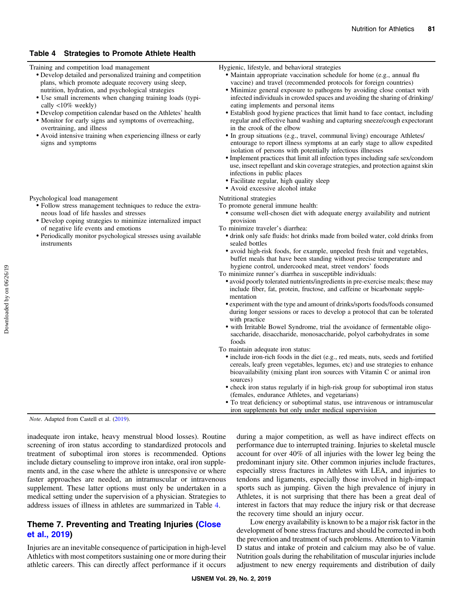### <span id="page-8-0"></span>Table 4 Strategies to Promote Athlete Health

#### Training and competition load management

- Develop detailed and personalized training and competition plans, which promote adequate recovery using sleep, nutrition, hydration, and psychological strategies
- Use small increments when changing training loads (typically <10% weekly)
- Develop competition calendar based on the Athletes' health
- Monitor for early signs and symptoms of overreaching, overtraining, and illness
- Avoid intensive training when experiencing illness or early signs and symptoms

Psychological load management

- Follow stress management techniques to reduce the extraneous load of life hassles and stresses
- Develop coping strategies to minimize internalized impact of negative life events and emotions
- Periodically monitor psychological stresses using available instruments

Hygienic, lifestyle, and behavioral strategies

- Maintain appropriate vaccination schedule for home (e.g., annual flu vaccine) and travel (recommended protocols for foreign countries)
- Minimize general exposure to pathogens by avoiding close contact with infected individuals in crowded spaces and avoiding the sharing of drinking/ eating implements and personal items
- Establish good hygiene practices that limit hand to face contact, including regular and effective hand washing and capturing sneeze/cough expectorant in the crook of the elbow
- In group situations (e.g., travel, communal living) encourage Athletes/ entourage to report illness symptoms at an early stage to allow expedited isolation of persons with potentially infectious illnesses
- Implement practices that limit all infection types including safe sex/condom use, insect repellant and skin coverage strategies, and protection against skin infections in public places
- Facilitate regular, high quality sleep
- Avoid excessive alcohol intake

#### Nutritional strategies

To promote general immune health:

- consume well-chosen diet with adequate energy availability and nutrient provision
- To minimize traveler's diarrhea:
	- drink only safe fluids: hot drinks made from boiled water, cold drinks from sealed bottles
	- avoid high-risk foods, for example, unpeeled fresh fruit and vegetables, buffet meals that have been standing without precise temperature and hygiene control, undercooked meat, street vendors' foods
- To minimize runner's diarrhea in susceptible individuals:
	- avoid poorly tolerated nutrients/ingredients in pre-exercise meals; these may include fiber, fat, protein, fructose, and caffeine or bicarbonate supplementation
	- experiment with the type and amount of drinks/sports foods/foods consumed during longer sessions or races to develop a protocol that can be tolerated with practice
	- with Irritable Bowel Syndrome, trial the avoidance of fermentable oligosaccharide, disaccharide, monosaccharide, polyol carbohydrates in some foods
- To maintain adequate iron status:
	- include iron-rich foods in the diet (e.g., red meats, nuts, seeds and fortified cereals, leafy green vegetables, legumes, etc) and use strategies to enhance bioavailability (mixing plant iron sources with Vitamin C or animal iron sources)
	- check iron status regularly if in high-risk group for suboptimal iron status (females, endurance Athletes, and vegetarians)
	- To treat deficiency or suboptimal status, use intravenous or intramuscular iron supplements but only under medical supervision

Note. Adapted from Castell et al. ([2019\)](#page-11-0).

inadequate iron intake, heavy menstrual blood losses). Routine screening of iron status according to standardized protocols and treatment of suboptimal iron stores is recommended. Options include dietary counseling to improve iron intake, oral iron supplements and, in the case where the athlete is unresponsive or where faster approaches are needed, an intramuscular or intravenous supplement. These latter options must only be undertaken in a medical setting under the supervision of a physician. Strategies to address issues of illness in athletes are summarized in Table 4.

# Theme 7. Preventing and Treating Injuries ([Close](#page-11-0) [et al., 2019](#page-11-0))

Injuries are an inevitable consequence of participation in high-level Athletics with most competitors sustaining one or more during their athletic careers. This can directly affect performance if it occurs

during a major competition, as well as have indirect effects on performance due to interrupted training. Injuries to skeletal muscle account for over 40% of all injuries with the lower leg being the predominant injury site. Other common injuries include fractures, especially stress fractures in Athletes with LEA, and injuries to tendons and ligaments, especially those involved in high-impact sports such as jumping. Given the high prevalence of injury in Athletes, it is not surprising that there has been a great deal of interest in factors that may reduce the injury risk or that decrease the recovery time should an injury occur.

Low energy availability is known to be a major risk factor in the development of bone stress fractures and should be corrected in both the prevention and treatment of such problems. Attention to Vitamin D status and intake of protein and calcium may also be of value. Nutrition goals during the rehabilitation of muscular injuries include adjustment to new energy requirements and distribution of daily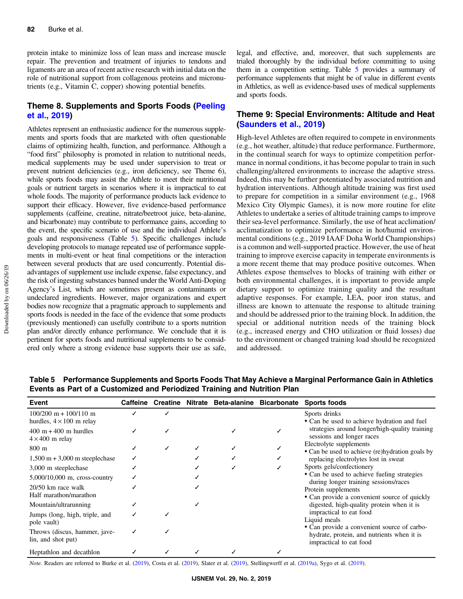protein intake to minimize loss of lean mass and increase muscle repair. The prevention and treatment of injuries to tendons and ligaments are an area of recent active research with initial data on the role of nutritional support from collagenous proteins and micronutrients (e.g., Vitamin C, copper) showing potential benefits.

### Theme 8. Supplements and Sports Foods [\(Peeling](#page-11-0) [et al., 2019](#page-11-0))

Athletes represent an enthusiastic audience for the numerous supplements and sports foods that are marketed with often questionable claims of optimizing health, function, and performance. Although a "food first" philosophy is promoted in relation to nutritional needs, medical supplements may be used under supervision to treat or prevent nutrient deficiencies (e.g., iron deficiency, see Theme 6), while sports foods may assist the Athlete to meet their nutritional goals or nutrient targets in scenarios where it is impractical to eat whole foods. The majority of performance products lack evidence to support their efficacy. However, five evidence-based performance supplements (caffeine, creatine, nitrate/beetroot juice, beta-alanine, and bicarbonate) may contribute to performance gains, according to the event, the specific scenario of use and the individual Athlete's goals and responsiveness (Table 5). Specific challenges include developing protocols to manage repeated use of performance supplements in multi-event or heat final competitions or the interaction between several products that are used concurrently. Potential disadvantages of supplement use include expense, false expectancy, and the risk of ingesting substances banned under the World Anti-Doping Agency's List, which are sometimes present as contaminants or undeclared ingredients. However, major organizations and expert bodies now recognize that a pragmatic approach to supplements and sports foods is needed in the face of the evidence that some products (previously mentioned) can usefully contribute to a sports nutrition plan and/or directly enhance performance. We conclude that it is pertinent for sports foods and nutritional supplements to be considered only where a strong evidence base supports their use as safe,

legal, and effective, and, moreover, that such supplements are trialed thoroughly by the individual before committing to using them in a competition setting. Table 5 provides a summary of performance supplements that might be of value in different events in Athletics, as well as evidence-based uses of medical supplements and sports foods.

# Theme 9: Special Environments: Altitude and Heat ([Saunders et al., 2019](#page-11-0))

High-level Athletes are often required to compete in environments (e.g., hot weather, altitude) that reduce performance. Furthermore, in the continual search for ways to optimize competition performance in normal conditions, it has become popular to train in such challenging/altered environments to increase the adaptive stress. Indeed, this may be further potentiated by associated nutrition and hydration interventions. Although altitude training was first used to prepare for competition in a similar environment (e.g., 1968 Mexico City Olympic Games), it is now more routine for elite Athletes to undertake a series of altitude training camps to improve their sea-level performance. Similarly, the use of heat acclimation/ acclimatization to optimize performance in hot/humid environmental conditions (e.g., 2019 IAAF Doha World Championships) is a common and well-supported practice. However, the use of heat training to improve exercise capacity in temperate environments is a more recent theme that may produce positive outcomes. When Athletes expose themselves to blocks of training with either or both environmental challenges, it is important to provide ample dietary support to optimize training quality and the resultant adaptive responses. For example, LEA, poor iron status, and illness are known to attenuate the response to altitude training and should be addressed prior to the training block. In addition, the special or additional nutrition needs of the training block (e.g., increased energy and CHO utilization or fluid losses) due to the environment or changed training load should be recognized and addressed.

| Event                                                             | <b>Caffeine</b> | <b>Creatine</b> | Nitrate Beta-alanine Bicarbonate | <b>Sports foods</b>                                                                                                  |
|-------------------------------------------------------------------|-----------------|-----------------|----------------------------------|----------------------------------------------------------------------------------------------------------------------|
| $100/200$ m + $100/110$ m<br>hurdles, $4 \times 100$ m relay      |                 |                 |                                  | Sports drinks<br>• Can be used to achieve hydration and fuel                                                         |
| $400 \text{ m} + 400 \text{ m}$ hurdles<br>$4 \times 400$ m relay |                 |                 |                                  | strategies around longer/high-quality training<br>sessions and longer races                                          |
| $800 \; \mathrm{m}$                                               |                 |                 |                                  | Electrolyte supplements<br>• Can be used to achieve (re)hydration goals by                                           |
| $1,500 \text{ m} + 3,000 \text{ m}$ steeplechase                  |                 |                 |                                  | replacing electrolytes lost in sweat                                                                                 |
| 3,000 m steeplechase                                              |                 |                 |                                  | Sports gels/confectionery                                                                                            |
| $5,000/10,000$ m, cross-country                                   |                 |                 |                                  | • Can be used to achieve fueling strategies<br>during longer training sessions/races                                 |
| 20/50 km race walk<br>Half marathon/marathon                      |                 |                 |                                  | Protein supplements<br>• Can provide a convenient source of quickly                                                  |
| Mountain/ultrarunning                                             |                 |                 |                                  | digested, high-quality protein when it is                                                                            |
| Jumps (long, high, triple, and<br>pole vault)                     |                 |                 |                                  | impractical to eat food<br>Liquid meals                                                                              |
| Throws (discus, hammer, jave-<br>lin, and shot put)               |                 |                 |                                  | • Can provide a convenient source of carbo-<br>hydrate, protein, and nutrients when it is<br>impractical to eat food |
| Heptathlon and decathlon                                          |                 |                 |                                  |                                                                                                                      |

Table 5 Performance Supplements and Sports Foods That May Achieve a Marginal Performance Gain in Athletics Events as Part of a Customized and Periodized Training and Nutrition Plan

Note. Readers are referred to Burke et al. [\(2019](#page-11-0)), Costa et al. (2019), Slater et al. (2019), Stellingwerff et al. ([2019a](#page-11-0)), Sygo et al. ([2019\)](#page-11-0).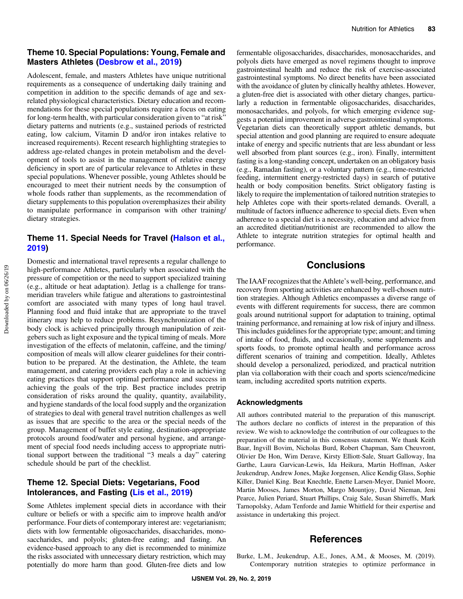# <span id="page-10-0"></span>Theme 10. Special Populations: Young, Female and Masters Athletes ([Desbrow et al., 2019\)](#page-11-0)

Adolescent, female, and masters Athletes have unique nutritional requirements as a consequence of undertaking daily training and competition in addition to the specific demands of age and sexrelated physiological characteristics. Dietary education and recommendations for these special populations require a focus on eating for long-term health, with particular consideration given to "at risk" dietary patterns and nutrients (e.g., sustained periods of restricted eating, low calcium, Vitamin D and/or iron intakes relative to increased requirements). Recent research highlighting strategies to address age-related changes in protein metabolism and the development of tools to assist in the management of relative energy deficiency in sport are of particular relevance to Athletes in these special populations. Whenever possible, young Athletes should be encouraged to meet their nutrient needs by the consumption of whole foods rather than supplements, as the recommendation of dietary supplements to this population overemphasizes their ability to manipulate performance in comparison with other training/ dietary strategies.

# Theme 11. Special Needs for Travel [\(Halson et al.,](#page-11-0) [2019](#page-11-0))

Domestic and international travel represents a regular challenge to high-performance Athletes, particularly when associated with the pressure of competition or the need to support specialized training (e.g., altitude or heat adaptation). Jetlag is a challenge for transmeridian travelers while fatigue and alterations to gastrointestinal comfort are associated with many types of long haul travel. Planning food and fluid intake that are appropriate to the travel itinerary may help to reduce problems. Resynchronization of the body clock is achieved principally through manipulation of zeitgebers such as light exposure and the typical timing of meals. More investigation of the effects of melatonin, caffeine, and the timing/ composition of meals will allow clearer guidelines for their contribution to be prepared. At the destination, the Athlete, the team management, and catering providers each play a role in achieving eating practices that support optimal performance and success in achieving the goals of the trip. Best practice includes pretrip consideration of risks around the quality, quantity, availability, and hygiene standards of the local food supply and the organization of strategies to deal with general travel nutrition challenges as well as issues that are specific to the area or the special needs of the group. Management of buffet style eating, destination-appropriate protocols around food/water and personal hygiene, and arrangement of special food needs including access to appropriate nutritional support between the traditional "3 meals a day" catering schedule should be part of the checklist.

# Theme 12. Special Diets: Vegetarians, Food Intolerances, and Fasting [\(Lis et al., 2019\)](#page-11-0)

Some Athletes implement special diets in accordance with their culture or beliefs or with a specific aim to improve health and/or performance. Four diets of contemporary interest are: vegetarianism; diets with low fermentable oligosaccharides, disaccharides, monosaccharides, and polyols; gluten-free eating; and fasting. An evidence-based approach to any diet is recommended to minimize the risks associated with unnecessary dietary restriction, which may potentially do more harm than good. Gluten-free diets and low fermentable oligosaccharides, disaccharides, monosaccharides, and polyols diets have emerged as novel regimens thought to improve gastrointestinal health and reduce the risk of exercise-associated gastrointestinal symptoms. No direct benefits have been associated with the avoidance of gluten by clinically healthy athletes. However, a gluten-free diet is associated with other dietary changes, particularly a reduction in fermentable oligosaccharides, disaccharides, monosaccharides, and polyols, for which emerging evidence suggests a potential improvement in adverse gastrointestinal symptoms. Vegetarian diets can theoretically support athletic demands, but special attention and good planning are required to ensure adequate intake of energy and specific nutrients that are less abundant or less well absorbed from plant sources (e.g., iron). Finally, intermittent fasting is a long-standing concept, undertaken on an obligatory basis (e.g., Ramadan fasting), or a voluntary pattern (e.g., time-restricted feeding, intermittent energy-restricted days) in search of putative health or body composition benefits. Strict obligatory fasting is likely to require the implementation of tailored nutrition strategies to help Athletes cope with their sports-related demands. Overall, a multitude of factors influence adherence to special diets. Even when adherence to a special diet is a necessity, education and advice from an accredited dietitian/nutritionist are recommended to allow the Athlete to integrate nutrition strategies for optimal health and performance.

# **Conclusions**

The IAAF recognizes that the Athlete's well-being, performance, and recovery from sporting activities are enhanced by well-chosen nutrition strategies. Although Athletics encompasses a diverse range of events with different requirements for success, there are common goals around nutritional support for adaptation to training, optimal training performance, and remaining at low risk of injury and illness. This includes guidelines for the appropriate type; amount; and timing of intake of food, fluids, and occasionally, some supplements and sports foods, to promote optimal health and performance across different scenarios of training and competition. Ideally, Athletes should develop a personalized, periodized, and practical nutrition plan via collaboration with their coach and sports science/medicine team, including accredited sports nutrition experts.

### Acknowledgments

All authors contributed material to the preparation of this manuscript. The authors declare no conflicts of interest in the preparation of this review. We wish to acknowledge the contribution of our colleagues to the preparation of the material in this consensus statement. We thank Keith Baar, Ingvill Bovim, Nicholas Burd, Robert Chapman, Sam Cheuvront, Olivier De Hon, Wim Derave, Kirsty Elliott-Sale, Stuart Galloway, Ina Garthe, Laura Garvican-Lewis, Ida Heikura, Martin Hoffman, Asker Jeukendrup, Andrew Jones, Majke Jorgensen, Alice Kendig Glass, Sophie Killer, Daniel King. Beat Knechtle, Enette Larsen-Meyer, Daniel Moore, Martin Mooses, James Morton, Margo Mountjoy, David Nieman, Jeni Pearce, Julien Periard, Stuart Phillips, Craig Sale, Susan Shirreffs, Mark Tarnopolsky, Adam Tenforde and Jamie Whitfield for their expertise and assistance in undertaking this project.

# References

Burke, L.M., Jeukendrup, A.E., Jones, A.M., & Mooses, M. (2019). Contemporary nutrition strategies to optimize performance in